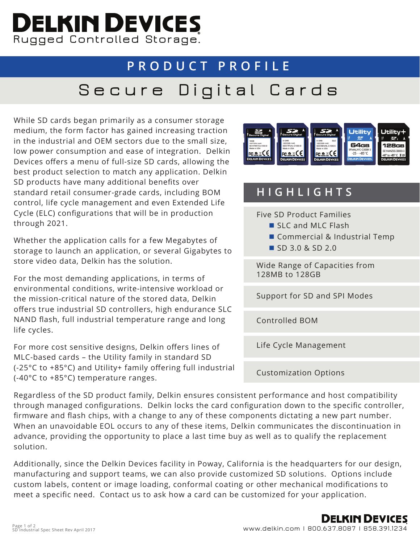## **Rugged Controlled Storage.**

## **PRODUCT PROFILE Secure Digital Cards**

While SD cards began primarily as a consumer storage medium, the form factor has gained increasing traction in the industrial and OEM sectors due to the small size, low power consumption and ease of integration. Delkin Devices offers a menu of full-size SD cards, allowing the best product selection to match any application. Delkin SD products have many additional benefits over standard retail consumer-grade cards, including BOM control, life cycle management and even Extended Life Cycle (ELC) configurations that will be in production through 2021.

Whether the application calls for a few Megabytes of storage to launch an application, or several Gigabytes to store video data, Delkin has the solution.

For the most demanding applications, in terms of environmental conditions, write-intensive workload or the mission-critical nature of the stored data, Delkin offers true industrial SD controllers, high endurance SLC NAND flash, full industrial temperature range and long life cycles.

For more cost sensitive designs, Delkin offers lines of MLC-based cards – the Utility family in standard SD (-25°C to +85°C) and Utility+ family offering full industrial (-40°C to +85°C) temperature ranges.



## **HIGHLIGHTS**

Five SD Product Families

- SLC and MLC Flash
- Commercial & Industrial Temp
- SD 3.0 & SD 2.0

Wide Range of Capacities from 128MB to 128GB

Support for SD and SPI Modes

Controlled BOM

Life Cycle Management

Customization Options

Regardless of the SD product family, Delkin ensures consistent performance and host compatibility through managed configurations. Delkin locks the card configuration down to the specific controller, firmware and flash chips, with a change to any of these components dictating a new part number. When an unavoidable EOL occurs to any of these items, Delkin communicates the discontinuation in advance, providing the opportunity to place a last time buy as well as to qualify the replacement solution.

Additionally, since the Delkin Devices facility in Poway, California is the headquarters for our design, manufacturing and support teams, we can also provide customized SD solutions. Options include custom labels, content or image loading, conformal coating or other mechanical modifications to meet a specific need. Contact us to ask how a card can be customized for your application.